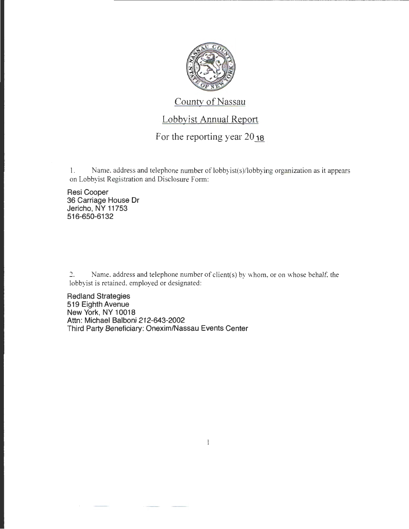

County of Nassau

## Lobbyist Annual Report

## For the reporting year  $20_{18}$

I. Name, address and telephone number of lobbyist(s)/lobbying organization as it appears on Lobbyist Registration and Disclosure Form:

Resi Cooper 36 Carriage House Dr Jericho, NY 11753 516-650-6132

? Name. address and telephone number of client(s) by whom, or on whose behalf, the lobbyist is retained. employed or designated:

Redland Strategies 519 Eighth Avenue New York, NY 10018 Attn: Michael Balboni 212-643-2002 Third Party Beneficiary: Onexim/Nassau Events Center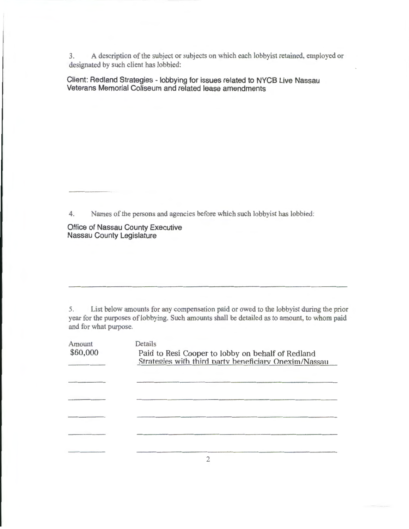3. A description of the subject or subjects on which each lobbyist retained, employed or designated by such client has lobbied:

Client: Redland Strategies - lobbying for issues related to NYCB Live Nassau Veterans Memorial Coliseum and related lease amendments

4. Names of the persons and agencies before which such lobbyist has lobbied:

Office of Nassau County Executive Nassau County Legislature

5. List below amounts for any compensation paid or owed to the lobbyist during the prior year for the purposes of lobbying. Such amounts shall be detailed as to amount, to whom paid and for what purpose.

| Amount   | Details                                                                                                    |  |  |  |  |
|----------|------------------------------------------------------------------------------------------------------------|--|--|--|--|
| \$60,000 | Paid to Resi Cooper to lobby on behalf of Redland<br>Strategies with third party beneficiary Onexim/Nassau |  |  |  |  |
|          |                                                                                                            |  |  |  |  |
|          |                                                                                                            |  |  |  |  |
|          |                                                                                                            |  |  |  |  |
|          |                                                                                                            |  |  |  |  |
|          |                                                                                                            |  |  |  |  |

2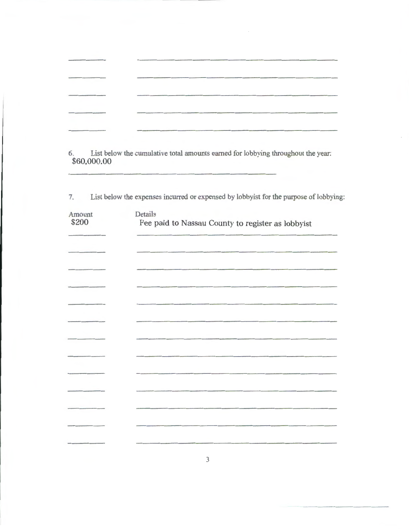|  |  | and the control of the following company and a terms on                                     |
|--|--|---------------------------------------------------------------------------------------------|
|  |  | and the first product and an actual product of the content of the content of the content of |
|  |  |                                                                                             |
|  |  |                                                                                             |
|  |  |                                                                                             |

6. List below the cumulative total amounts earned for lobbying throughout the year: \$60,000.00

7. List below the expenses incurred or expensed by lobbyist for the purpose of lobbying:

| Amount<br>\$200                                                                                                                                                                                                                      | Details<br>Fee paid to Nassau County to register as lobbyist |
|--------------------------------------------------------------------------------------------------------------------------------------------------------------------------------------------------------------------------------------|--------------------------------------------------------------|
|                                                                                                                                                                                                                                      |                                                              |
| _____                                                                                                                                                                                                                                |                                                              |
|                                                                                                                                                                                                                                      |                                                              |
| $   -$                                                                                                                                                                                                                               |                                                              |
| <u>state of the company of the company of the company of the company of the company of the company of the company of the company of the company of the company of the company of the company of the company of the company of th</u> |                                                              |
|                                                                                                                                                                                                                                      |                                                              |
|                                                                                                                                                                                                                                      |                                                              |
|                                                                                                                                                                                                                                      |                                                              |
|                                                                                                                                                                                                                                      |                                                              |
|                                                                                                                                                                                                                                      |                                                              |
|                                                                                                                                                                                                                                      |                                                              |
|                                                                                                                                                                                                                                      |                                                              |

3